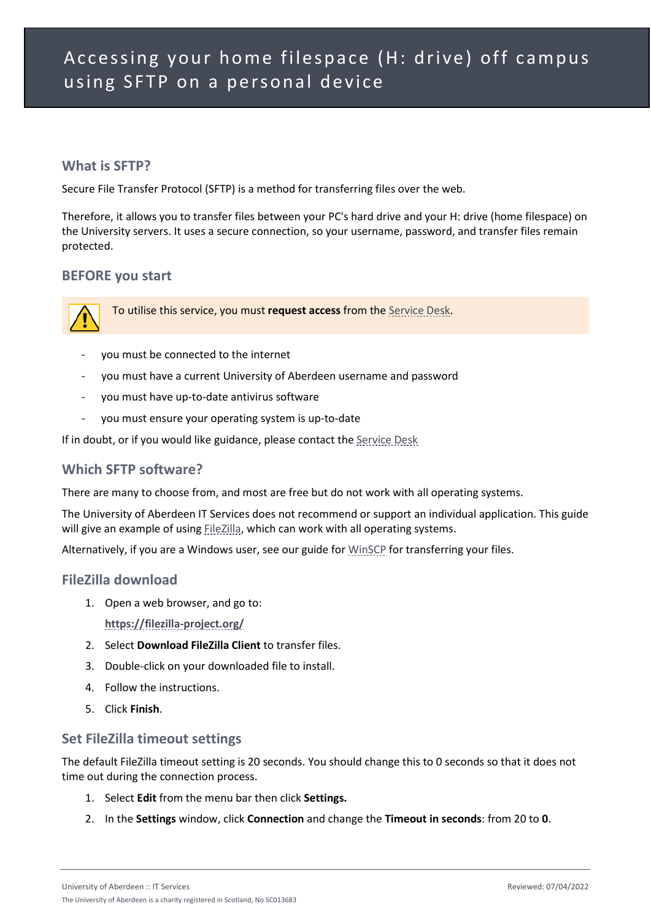### **What is SFTP?**

Secure File Transfer Protocol (SFTP) is a method for transferring files over the web.

Therefore, it allows you to transfer files between your PC's hard drive and your H: drive (home filespace) on the University servers. It uses a secure connection, so your username, password, and transfer files remain protected.

### **BEFORE you start**



To utilise this service, you must **request access** from the [Service Desk.](mailto:servicedesk@abdn.ac.uk?subject=Service%20Desk)

- you must be connected to the internet
- you must have a current University of Aberdeen username and password
- you must have up-to-date antivirus software
- you must ensure your operating system is up-to-date

If in doubt, or if you would like guidance, please contact the [Service Desk](mailto:servicedesk@abdn.ac.uk?subject=Remote%20VPN)

#### **Which SFTP software?**

There are many to choose from, and most are free but do not work with all operating systems.

The University of Aberdeen IT Services does not recommend or support an individual application. This guide will give an example of using [FileZilla,](https://filezilla-project.org/) which can work with all operating systems.

Alternatively, if you are a Windows user, see our guide fo[r WinSCP](chrome-extension://efaidnbmnnnibpcajpcglclefindmkaj/viewer.html?pdfurl=https%3A%2F%2Fwww.abdn.ac.uk%2Fit%2Fdocuments%2Ffactsheets%2Fwinscp-home-drive.pdf&clen=429168&chunk=true) for transferring your files.

#### **FileZilla download**

1. Open a web browser, and go to:

**<https://filezilla-project.org/>**

- 2. Select **Download FileZilla Client** to transfer files.
- 3. Double-click on your downloaded file to install.
- 4. Follow the instructions.
- 5. Click **Finish**.

#### **Set FileZilla timeout settings**

The default FileZilla timeout setting is 20 seconds. You should change this to 0 seconds so that it does not time out during the connection process.

- 1. Select **Edit** from the menu bar then click **Settings.**
- 2. In the **Settings** window, click **Connection** and change the **Timeout in seconds**: from 20 to **0**.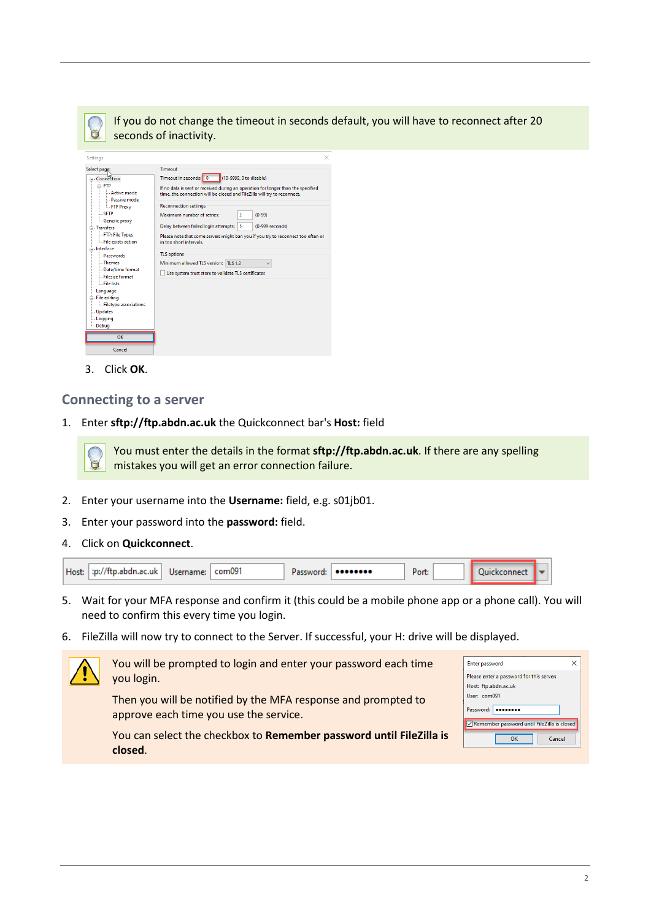

If you do not change the timeout in seconds default, you will have to reconnect after 20 seconds of inactivity.

| Settings                                                                                                                                                                                                             | $\times$                                                                                                                                                                                                                                                    |
|----------------------------------------------------------------------------------------------------------------------------------------------------------------------------------------------------------------------|-------------------------------------------------------------------------------------------------------------------------------------------------------------------------------------------------------------------------------------------------------------|
| Select page:<br><b>□ Connection</b><br><b>A</b> FTP<br>- Active mode<br>- Passive mode<br>- FTP Proxy<br>$-$ SFTP<br>-Generic proxy<br><b>⇒</b> -Transfers<br>- FTP: File Types<br>- File exists action<br>interface | Timeout<br>(10-9999, 0 to disable)<br>Timeout in seconds: 0<br>If no data is sent or received during an operation for longer than the specified<br>time, the connection will be closed and FileZilla will try to reconnect.                                 |
|                                                                                                                                                                                                                      | <b>Reconnection settings</b><br>Maximum number of retries:<br>$(0-99)$<br>2<br>(0-999 seconds)<br>Delay between failed login attempts:<br>-5<br>Please note that some servers might ban you if you try to reconnect too often or<br>in too short intervals. |
| - Passwords<br>-Themes<br>Date/time format<br>- Filesize format<br>- File lists                                                                                                                                      | <b>TLS</b> options<br>Minimum allowed TLS version: TLS 1.2<br>Use system trust store to validate TLS certificates                                                                                                                                           |
| Language<br>File editing<br>- Filetype associations<br><b>Updates</b><br>- Logging<br>Debug                                                                                                                          |                                                                                                                                                                                                                                                             |
| OK<br>Cancel                                                                                                                                                                                                         |                                                                                                                                                                                                                                                             |

3. Click **OK**.

#### **Connecting to a server**

1. Enter **sftp://ftp.abdn.ac.uk** the Quickconnect bar's **Host:** field

You must enter the details in the format **sftp://ftp.abdn.ac.uk**. If there are any spelling mistakes you will get an error connection failure.

- 2. Enter your username into the **Username:** field, e.g. s01jb01.
- 3. Enter your password into the **password:** field.
- 4. Click on **Quickconnect**.



- 5. Wait for your MFA response and confirm it (this could be a mobile phone app or a phone call). You will need to confirm this every time you login.
- 6. FileZilla will now try to connect to the Server. If successful, your H: drive will be displayed.



You will be prompted to login and enter your password each time you login.

Then you will be notified by the MFA response and prompted to approve each time you use the service.

| <b>Enter password</b>                                                            |        |
|----------------------------------------------------------------------------------|--------|
| Please enter a password for this server:<br>Host: ftp.abdn.ac.uk<br>User: com091 |        |
| Password:                                                                        |        |
| Remember password until FileZilla is closed                                      |        |
| OK                                                                               | Cancel |

You can select the checkbox to **Remember password until FileZilla is closed**.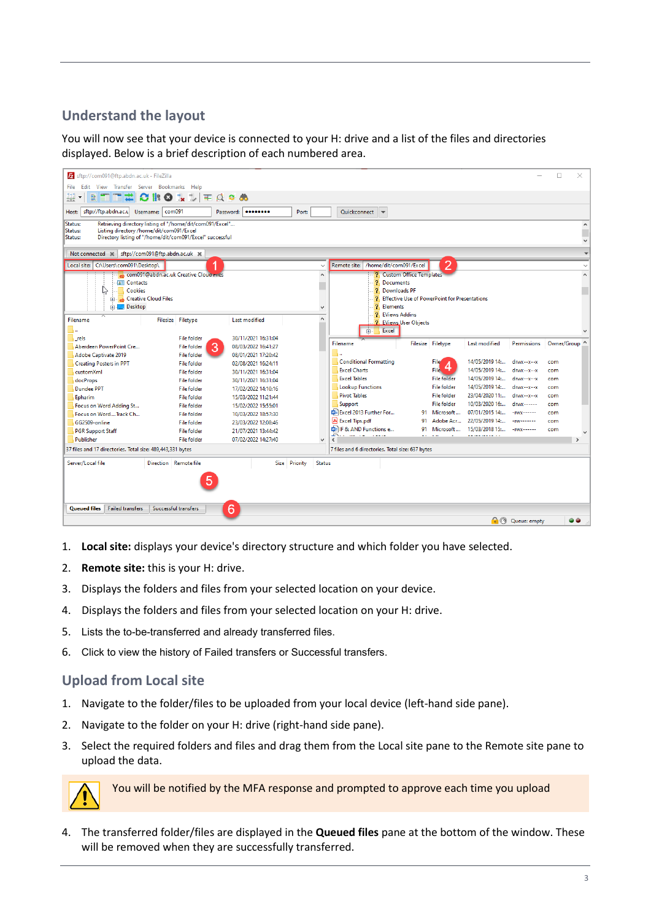# **Understand the layout**

You will now see that your device is connected to your H: drive and a list of the files and directories displayed. Below is a brief description of each numbered area.



- 1. **Local site:** displays your device's directory structure and which folder you have selected.
- 2. **Remote site:** this is your H: drive.
- 3. Displays the folders and files from your selected location on your device.
- 4. Displays the folders and files from your selected location on your H: drive.
- 5. Lists the to-be-transferred and already transferred files.
- 6. Click to view the history of Failed transfers or Successful transfers.

### **Upload from Local site**

- 1. Navigate to the folder/files to be uploaded from your local device (left-hand side pane).
- 2. Navigate to the folder on your H: drive (right-hand side pane).
- 3. Select the required folders and files and drag them from the Local site pane to the Remote site pane to upload the data.



You will be notified by the MFA response and prompted to approve each time you upload

4. The transferred folder/files are displayed in the **Queued files** pane at the bottom of the window. These will be removed when they are successfully transferred.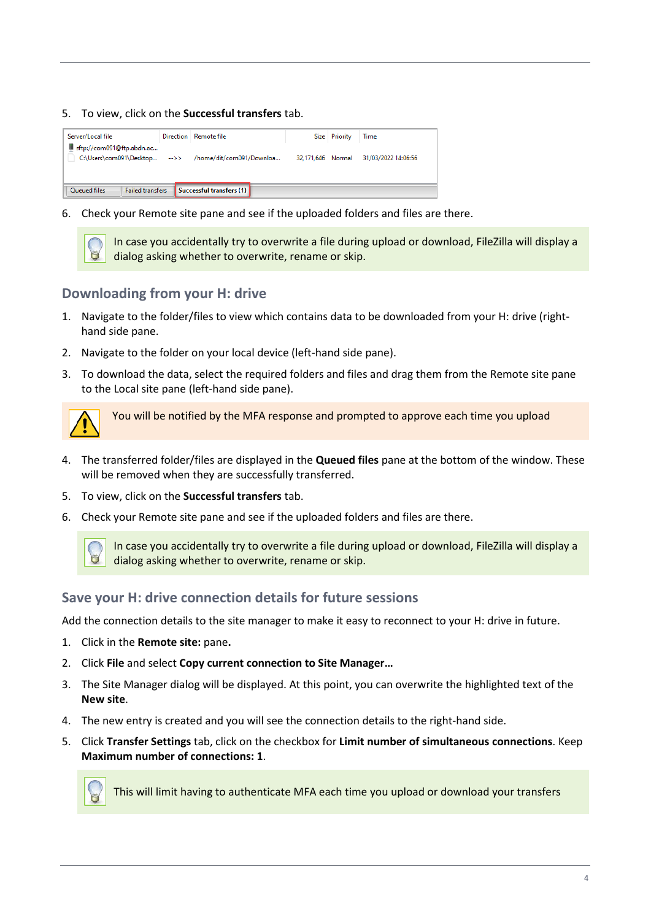5. To view, click on the **Successful transfers** tab.



6. Check your Remote site pane and see if the uploaded folders and files are there.



In case you accidentally try to overwrite a file during upload or download, FileZilla will display a dialog asking whether to overwrite, rename or skip.

#### **Downloading from your H: drive**

- 1. Navigate to the folder/files to view which contains data to be downloaded from your H: drive (righthand side pane.
- 2. Navigate to the folder on your local device (left-hand side pane).
- 3. To download the data, select the required folders and files and drag them from the Remote site pane to the Local site pane (left-hand side pane).



You will be notified by the MFA response and prompted to approve each time you upload

- 4. The transferred folder/files are displayed in the **Queued files** pane at the bottom of the window. These will be removed when they are successfully transferred.
- 5. To view, click on the **Successful transfers** tab.
- 6. Check your Remote site pane and see if the uploaded folders and files are there.



In case you accidentally try to overwrite a file during upload or download, FileZilla will display a dialog asking whether to overwrite, rename or skip.

#### **Save your H: drive connection details for future sessions**

Add the connection details to the site manager to make it easy to reconnect to your H: drive in future.

- 1. Click in the **Remote site:** pane**.**
- 2. Click **File** and select **Copy current connection to Site Manager…**
- 3. The Site Manager dialog will be displayed. At this point, you can overwrite the highlighted text of the **New site**.
- 4. The new entry is created and you will see the connection details to the right-hand side.
- 5. Click **Transfer Settings** tab, click on the checkbox for **Limit number of simultaneous connections**. Keep **Maximum number of connections: 1**.



This will limit having to authenticate MFA each time you upload or download your transfers